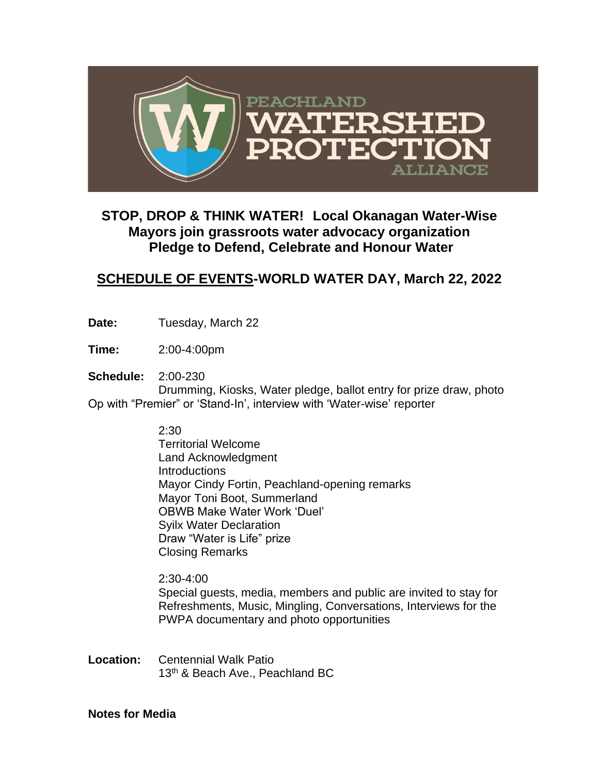

## **STOP, DROP & THINK WATER! Local Okanagan Water-Wise Mayors join grassroots water advocacy organization Pledge to Defend, Celebrate and Honour Water**

## **SCHEDULE OF EVENTS-WORLD WATER DAY, March 22, 2022**

- Date: Tuesday, March 22
- **Time:** 2:00-4:00pm
- **Schedule:** 2:00-230

Drumming, Kiosks, Water pledge, ballot entry for prize draw, photo Op with "Premier" or 'Stand-In', interview with 'Water-wise' reporter

2:30

Territorial Welcome Land Acknowledgment **Introductions** Mayor Cindy Fortin, Peachland-opening remarks Mayor Toni Boot, Summerland OBWB Make Water Work 'Duel' Syilx Water Declaration Draw "Water is Life" prize Closing Remarks

2:30-4:00 Special guests, media, members and public are invited to stay for Refreshments, Music, Mingling, Conversations, Interviews for the PWPA documentary and photo opportunities

**Location:** Centennial Walk Patio 13<sup>th</sup> & Beach Ave., Peachland BC

## **Notes for Media**